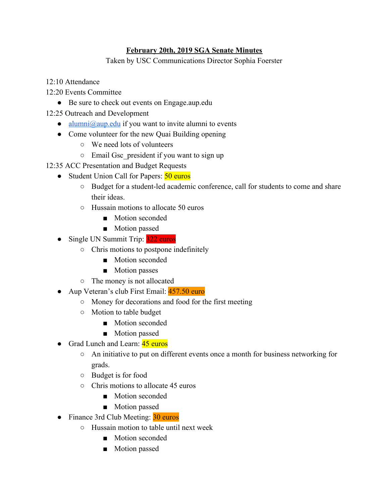## **February 20th, 2019 SGA Senate Minutes**

Taken by USC Communications Director Sophia Foerster

- 12:10 Attendance
- 12:20 Events Committee
	- Be sure to check out events on Engage.aup.edu
- 12:25 Outreach and Development
	- [alumni@aup.edu](mailto:alumni@aup.edu) if you want to invite alumni to events
	- Come volunteer for the new Quai Building opening
		- We need lots of volunteers
		- Email Gsc\_president if you want to sign up
- 12:35 ACC Presentation and Budget Requests
	- Student Union Call for Papers: 50 euros
		- Budget for a student-led academic conference, call for students to come and share their ideas.
		- Hussain motions to allocate 50 euros
			- Motion seconded
			- Motion passed
	- Single UN Summit Trip: 322 euros
		- Chris motions to postpone indefinitely
			- Motion seconded
			- Motion passes
		- The money is not allocated
	- Aup Veteran's club First Email: 457.50 euro
		- Money for decorations and food for the first meeting
		- Motion to table budget
			- Motion seconded
			- Motion passed
	- Grad Lunch and Learn: 45 euros
		- An initiative to put on different events once a month for business networking for grads.
		- Budget is for food
		- Chris motions to allocate 45 euros
			- Motion seconded
			- Motion passed
	- Finance 3rd Club Meeting: 30 euros
		- Hussain motion to table until next week
			- Motion seconded
			- Motion passed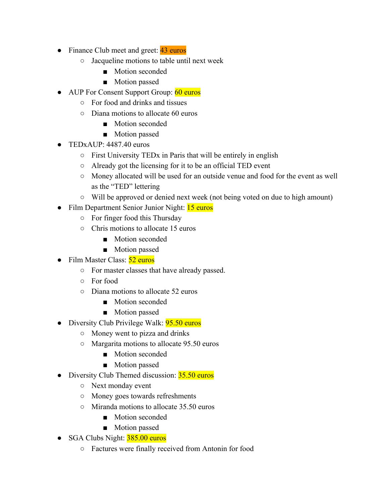- Finance Club meet and greet: 43 euros
	- Jacqueline motions to table until next week
		- Motion seconded
		- Motion passed
- AUP For Consent Support Group: 60 euros
	- For food and drinks and tissues
	- Diana motions to allocate 60 euros
		- Motion seconded
		- Motion passed
- TEDxAUP: 4487.40 euros
	- First University TEDx in Paris that will be entirely in english
	- Already got the licensing for it to be an official TED event
	- Money allocated will be used for an outside venue and food for the event as well as the "TED" lettering
	- Will be approved or denied next week (not being voted on due to high amount)
- Film Department Senior Junior Night: 15 euros
	- For finger food this Thursday
	- Chris motions to allocate 15 euros
		- Motion seconded
		- Motion passed
- Film Master Class: 52 euros
	- For master classes that have already passed.
	- For food
	- Diana motions to allocate 52 euros
		- Motion seconded
		- Motion passed
- Diversity Club Privilege Walk: **95.50 euros** 
	- Money went to pizza and drinks
	- Margarita motions to allocate 95.50 euros
		- Motion seconded
		- Motion passed
- Diversity Club Themed discussion: 35.50 euros
	- Next monday event
	- Money goes towards refreshments
	- Miranda motions to allocate 35.50 euros
		- Motion seconded
		- Motion passed
- SGA Clubs Night: 385.00 euros
	- Factures were finally received from Antonin for food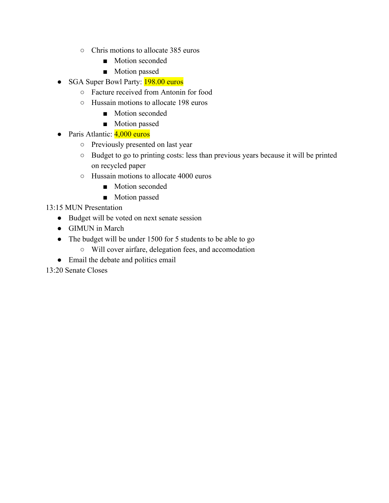- Chris motions to allocate 385 euros
	- Motion seconded
	- Motion passed
- SGA Super Bowl Party: **198.00 euros** 
	- Facture received from Antonin for food
	- Hussain motions to allocate 198 euros
		- Motion seconded
		- Motion passed
- Paris Atlantic: 4,000 euros
	- Previously presented on last year
	- Budget to go to printing costs: less than previous years because it will be printed on recycled paper
	- Hussain motions to allocate 4000 euros
		- Motion seconded
		- Motion passed

13:15 MUN Presentation

- Budget will be voted on next senate session
- GIMUN in March
- The budget will be under 1500 for 5 students to be able to go
	- Will cover airfare, delegation fees, and accomodation
- Email the debate and politics email

13:20 Senate Closes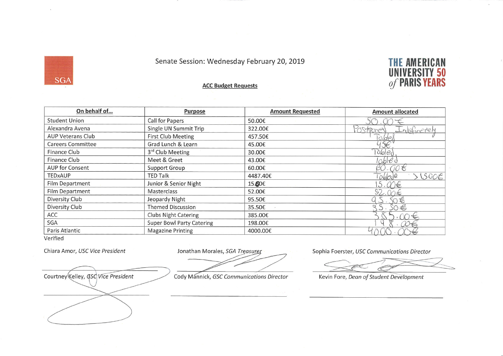## Senate Session: Wednesday February 20, 2019



## **ACC Budget Requests**

| On behalf of             | <b>Purpose</b>                   | <b>Amount Requested</b> | <b>Amount allocated</b>           |
|--------------------------|----------------------------------|-------------------------|-----------------------------------|
| <b>Student Union</b>     | Call for Papers                  | 50.00€                  |                                   |
| Alexandra Avena          | Single UN Summit Trip            | 322.00€                 | instruct<br>$-n$ <i>efinetely</i> |
| <b>AUP Veterans Club</b> | <b>First Club Meeting</b>        | 457.50€                 | codex                             |
| <b>Careers Committee</b> | Grad Lunch & Learn               | 45.00€                  |                                   |
| Finance Club             | 3rd Club Meeting                 | 30.00€                  | Tabled                            |
| Finance Club             | Meet & Greet                     | 43.00€                  | lcbled                            |
| AUP for Consent          | <b>Support Group</b>             | 60.00€                  | $00\epsilon$                      |
| TEDxAUP                  | <b>TED Talk</b>                  | 4487.40€                | 51500E<br>Tableste                |
| Film Department          | Junior & Senior Night            | 15.60€                  | $\ddot{5}$<br>M€                  |
| Film Department          | Masterclass                      | 52.00€                  | 52.<br>m                          |
| Diversity Club           | Jeopardy Night                   | 95.50€                  | SO毛                               |
| Diversity Club           | <b>Themed Discussion</b>         | 35.50€                  | $SO \in$                          |
| ACC                      | <b>Clubs Night Catering</b>      | 385.00€                 |                                   |
| SGA                      | <b>Super Bowl Party Catering</b> | 198.00€                 |                                   |
| Paris Atlantic           | <b>Magazine Printing</b>         | 4000.00€                |                                   |

Verified

**SGA** 

Chiara Amor, USC Vice President

Jonathan Morales, SGA Treasurer

Courtney Kelley, GSC Vice President

Cody Mannick, GSC Communications Director

Sophia Foerster, USC Communications Director

Kevin Fore, Dean of Student Development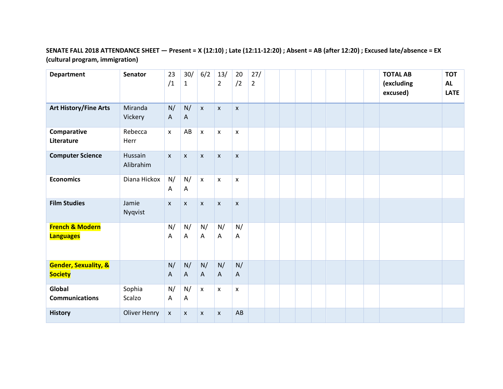## **SENATE FALL 2018 ATTENDANCE SHEET — Present = X (12:10) ; Late (12:11-12:20) ; Absent = AB (after 12:20) ; Excused late/absence = EX (cultural program, immigration)**

| <b>Department</b>                                 | <b>Senator</b>       | 23<br>/1                  | 30/<br>$\mathbf{1}$ | 6/2                | 13/<br>$\overline{2}$ | 20<br>/2           | 27/<br>$\overline{2}$ |  |  |  | <b>TOTAL AB</b><br>(excluding<br>excused) | <b>TOT</b><br><b>AL</b><br><b>LATE</b> |
|---------------------------------------------------|----------------------|---------------------------|---------------------|--------------------|-----------------------|--------------------|-----------------------|--|--|--|-------------------------------------------|----------------------------------------|
| <b>Art History/Fine Arts</b>                      | Miranda<br>Vickery   | N/<br>$\mathsf{A}$        | N/<br>$\mathsf{A}$  | $\mathsf{X}$       | $\mathsf{x}$          | X                  |                       |  |  |  |                                           |                                        |
| Comparative<br>Literature                         | Rebecca<br>Herr      | $\boldsymbol{\mathsf{x}}$ | AB                  | X                  | X                     | X                  |                       |  |  |  |                                           |                                        |
| <b>Computer Science</b>                           | Hussain<br>Alibrahim | $\pmb{\mathsf{x}}$        | $\pmb{\mathsf{x}}$  | $\pmb{\mathsf{X}}$ | $\pmb{\mathsf{x}}$    | $\pmb{\mathsf{x}}$ |                       |  |  |  |                                           |                                        |
| <b>Economics</b>                                  | Diana Hickox         | N/<br>Α                   | N/<br>Α             | $\pmb{\mathsf{X}}$ | X                     | X                  |                       |  |  |  |                                           |                                        |
| <b>Film Studies</b>                               | Jamie<br>Nyqvist     | $\pmb{\mathsf{x}}$        | X                   | $\mathsf X$        | $\pmb{\mathsf{x}}$    | $\pmb{\mathsf{x}}$ |                       |  |  |  |                                           |                                        |
| <b>French &amp; Modern</b><br><b>Languages</b>    |                      | N/<br>Α                   | N/<br>A             | N/<br>Α            | N/<br>A               | N/<br>Α            |                       |  |  |  |                                           |                                        |
| <b>Gender, Sexuality, &amp;</b><br><b>Society</b> |                      | N/<br>A                   | N/<br>$\mathsf{A}$  | N/<br>A            | N/<br>$\mathsf{A}$    | N/<br>$\mathsf{A}$ |                       |  |  |  |                                           |                                        |
| Global<br><b>Communications</b>                   | Sophia<br>Scalzo     | N/<br>A                   | N/<br>A             | $\pmb{\mathsf{X}}$ | $\pmb{\times}$        | X                  |                       |  |  |  |                                           |                                        |
| <b>History</b>                                    | <b>Oliver Henry</b>  | $\pmb{\mathsf{X}}$        | $\pmb{\mathsf{X}}$  | X                  | $\mathsf{x}$          | AB                 |                       |  |  |  |                                           |                                        |